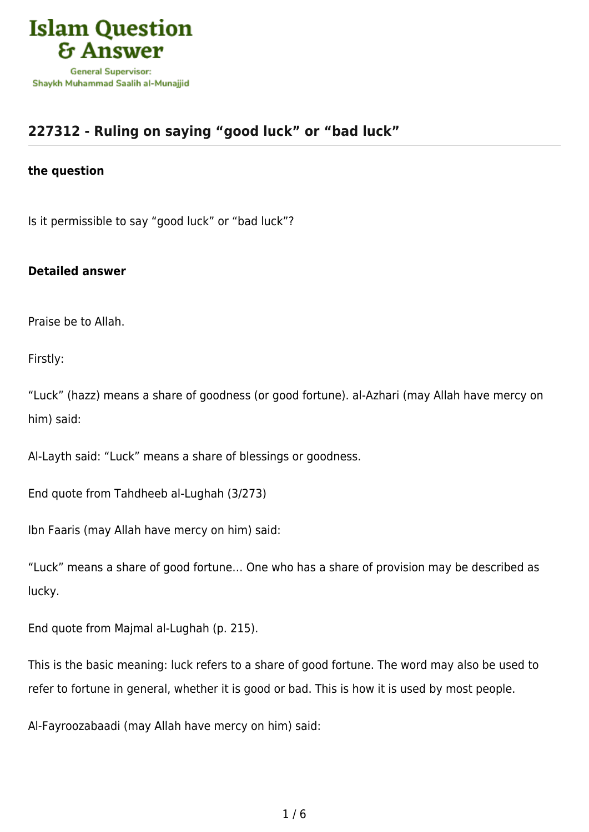

## **[227312 - Ruling on saying "good luck" or "bad luck"](https://islamqa.ws/en/answers/227312/ruling-on-saying-good-luck-or-bad-luck)**

## **the question**

Is it permissible to say "good luck" or "bad luck"?

## **Detailed answer**

Praise be to Allah.

Firstly:

"Luck" (hazz) means a share of goodness (or good fortune). al-Azhari (may Allah have mercy on him) said:

Al-Layth said: "Luck" means a share of blessings or goodness.

End quote from Tahdheeb al-Lughah (3/273)

Ibn Faaris (may Allah have mercy on him) said:

"Luck" means a share of good fortune… One who has a share of provision may be described as lucky.

End quote from Majmal al-Lughah (p. 215).

This is the basic meaning: luck refers to a share of good fortune. The word may also be used to refer to fortune in general, whether it is good or bad. This is how it is used by most people.

Al-Fayroozabaadi (may Allah have mercy on him) said: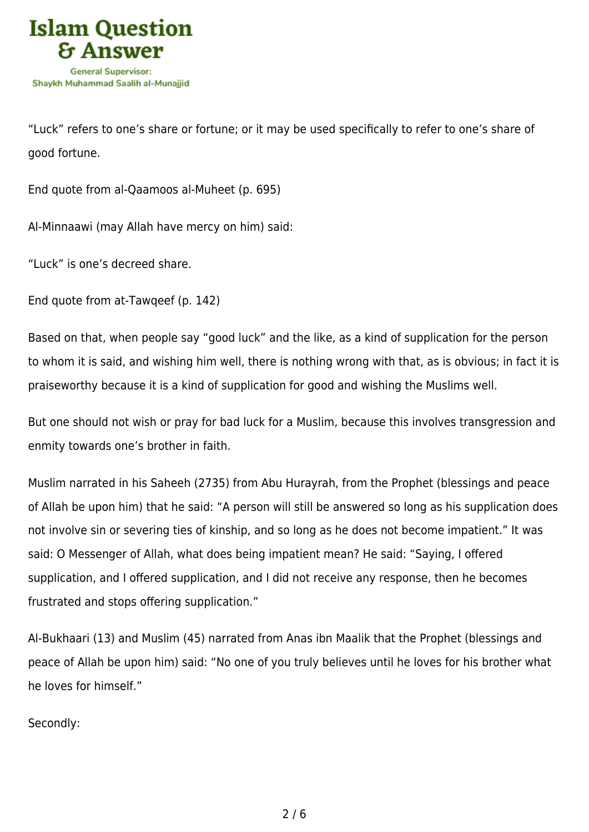

"Luck" refers to one's share or fortune; or it may be used specifically to refer to one's share of good fortune.

End quote from al-Qaamoos al-Muheet (p. 695)

Al-Minnaawi (may Allah have mercy on him) said:

"Luck" is one's decreed share.

End quote from at-Tawqeef (p. 142)

Based on that, when people say "good luck" and the like, as a kind of supplication for the person to whom it is said, and wishing him well, there is nothing wrong with that, as is obvious; in fact it is praiseworthy because it is a kind of supplication for good and wishing the Muslims well.

But one should not wish or pray for bad luck for a Muslim, because this involves transgression and enmity towards one's brother in faith.

Muslim narrated in his Saheeh (2735) from Abu Hurayrah, from the Prophet (blessings and peace of Allah be upon him) that he said: "A person will still be answered so long as his supplication does not involve sin or severing ties of kinship, and so long as he does not become impatient." It was said: O Messenger of Allah, what does being impatient mean? He said: "Saying, I offered supplication, and I offered supplication, and I did not receive any response, then he becomes frustrated and stops offering supplication."

Al-Bukhaari (13) and Muslim (45) narrated from Anas ibn Maalik that the Prophet (blessings and peace of Allah be upon him) said: "No one of you truly believes until he loves for his brother what he loves for himself."

Secondly: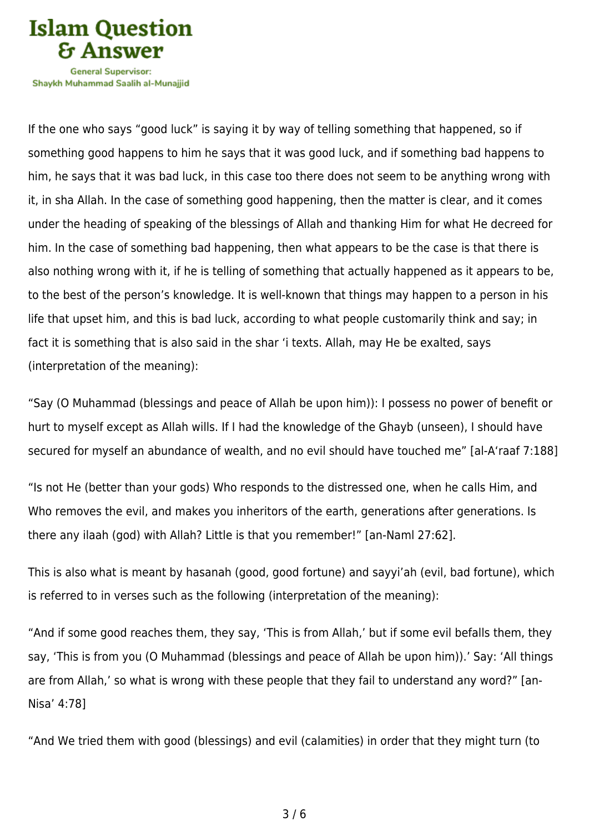

Shavkh Muhammad Saalih al-Munaiiid

If the one who says "good luck" is saying it by way of telling something that happened, so if something good happens to him he says that it was good luck, and if something bad happens to him, he says that it was bad luck, in this case too there does not seem to be anything wrong with it, in sha Allah. In the case of something good happening, then the matter is clear, and it comes under the heading of speaking of the blessings of Allah and thanking Him for what He decreed for him. In the case of something bad happening, then what appears to be the case is that there is also nothing wrong with it, if he is telling of something that actually happened as it appears to be, to the best of the person's knowledge. It is well-known that things may happen to a person in his life that upset him, and this is bad luck, according to what people customarily think and say; in fact it is something that is also said in the shar 'i texts. Allah, may He be exalted, says (interpretation of the meaning):

"Say (O Muhammad (blessings and peace of Allah be upon him)): I possess no power of benefit or hurt to myself except as Allah wills. If I had the knowledge of the Ghayb (unseen), I should have secured for myself an abundance of wealth, and no evil should have touched me" [al-A'raaf 7:188]

"Is not He (better than your gods) Who responds to the distressed one, when he calls Him, and Who removes the evil, and makes you inheritors of the earth, generations after generations. Is there any ilaah (god) with Allah? Little is that you remember!" [an-Naml 27:62].

This is also what is meant by hasanah (good, good fortune) and sayyi'ah (evil, bad fortune), which is referred to in verses such as the following (interpretation of the meaning):

"And if some good reaches them, they say, 'This is from Allah,' but if some evil befalls them, they say, 'This is from you (O Muhammad (blessings and peace of Allah be upon him)).' Say: 'All things are from Allah,' so what is wrong with these people that they fail to understand any word?" [an-Nisa' 4:78]

"And We tried them with good (blessings) and evil (calamities) in order that they might turn (to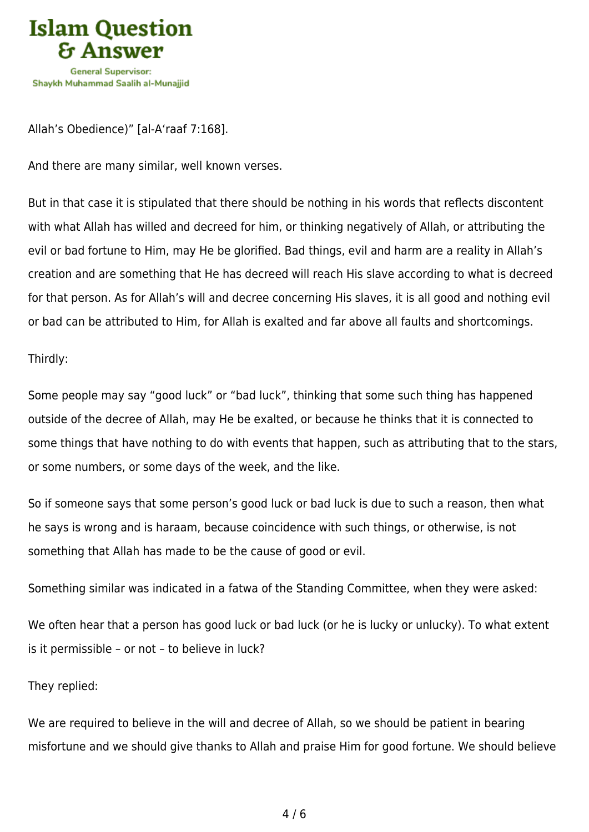

Allah's Obedience)" [al-A'raaf 7:168].

And there are many similar, well known verses.

But in that case it is stipulated that there should be nothing in his words that reflects discontent with what Allah has willed and decreed for him, or thinking negatively of Allah, or attributing the evil or bad fortune to Him, may He be glorified. Bad things, evil and harm are a reality in Allah's creation and are something that He has decreed will reach His slave according to what is decreed for that person. As for Allah's will and decree concerning His slaves, it is all good and nothing evil or bad can be attributed to Him, for Allah is exalted and far above all faults and shortcomings.

Thirdly:

Some people may say "good luck" or "bad luck", thinking that some such thing has happened outside of the decree of Allah, may He be exalted, or because he thinks that it is connected to some things that have nothing to do with events that happen, such as attributing that to the stars, or some numbers, or some days of the week, and the like.

So if someone says that some person's good luck or bad luck is due to such a reason, then what he says is wrong and is haraam, because coincidence with such things, or otherwise, is not something that Allah has made to be the cause of good or evil.

Something similar was indicated in a fatwa of the Standing Committee, when they were asked:

We often hear that a person has good luck or bad luck (or he is lucky or unlucky). To what extent is it permissible – or not – to believe in luck?

They replied:

We are required to believe in the will and decree of Allah, so we should be patient in bearing misfortune and we should give thanks to Allah and praise Him for good fortune. We should believe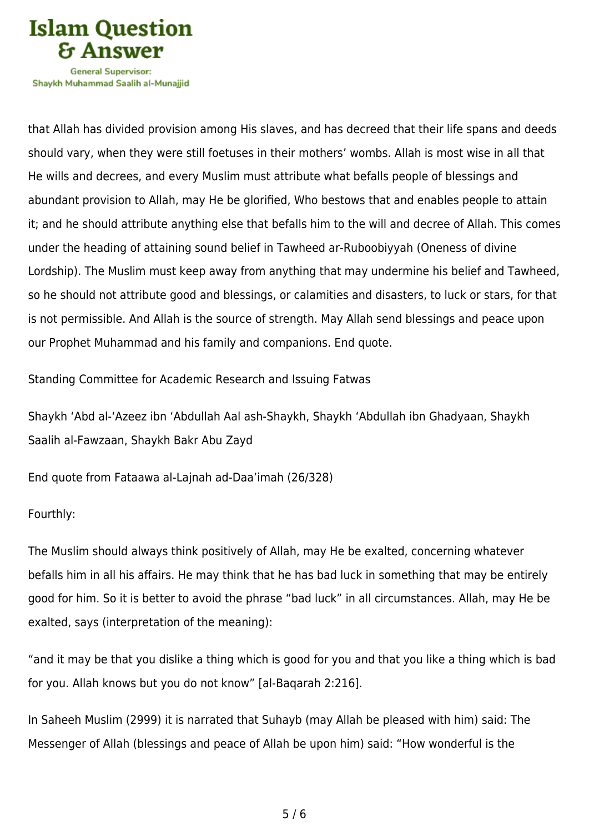

Shavkh Muhammad Saalih al-Munaiiid

that Allah has divided provision among His slaves, and has decreed that their life spans and deeds should vary, when they were still foetuses in their mothers' wombs. Allah is most wise in all that He wills and decrees, and every Muslim must attribute what befalls people of blessings and abundant provision to Allah, may He be glorified, Who bestows that and enables people to attain it; and he should attribute anything else that befalls him to the will and decree of Allah. This comes under the heading of attaining sound belief in Tawheed ar-Ruboobiyyah (Oneness of divine Lordship). The Muslim must keep away from anything that may undermine his belief and Tawheed, so he should not attribute good and blessings, or calamities and disasters, to luck or stars, for that is not permissible. And Allah is the source of strength. May Allah send blessings and peace upon our Prophet Muhammad and his family and companions. End quote.

Standing Committee for Academic Research and Issuing Fatwas

Shaykh 'Abd al-'Azeez ibn 'Abdullah Aal ash-Shaykh, Shaykh 'Abdullah ibn Ghadyaan, Shaykh Saalih al-Fawzaan, Shaykh Bakr Abu Zayd

End quote from Fataawa al-Lajnah ad-Daa'imah (26/328)

Fourthly:

The Muslim should always think positively of Allah, may He be exalted, concerning whatever befalls him in all his affairs. He may think that he has bad luck in something that may be entirely good for him. So it is better to avoid the phrase "bad luck" in all circumstances. Allah, may He be exalted, says (interpretation of the meaning):

"and it may be that you dislike a thing which is good for you and that you like a thing which is bad for you. Allah knows but you do not know" [al-Baqarah 2:216].

In Saheeh Muslim (2999) it is narrated that Suhayb (may Allah be pleased with him) said: The Messenger of Allah (blessings and peace of Allah be upon him) said: "How wonderful is the